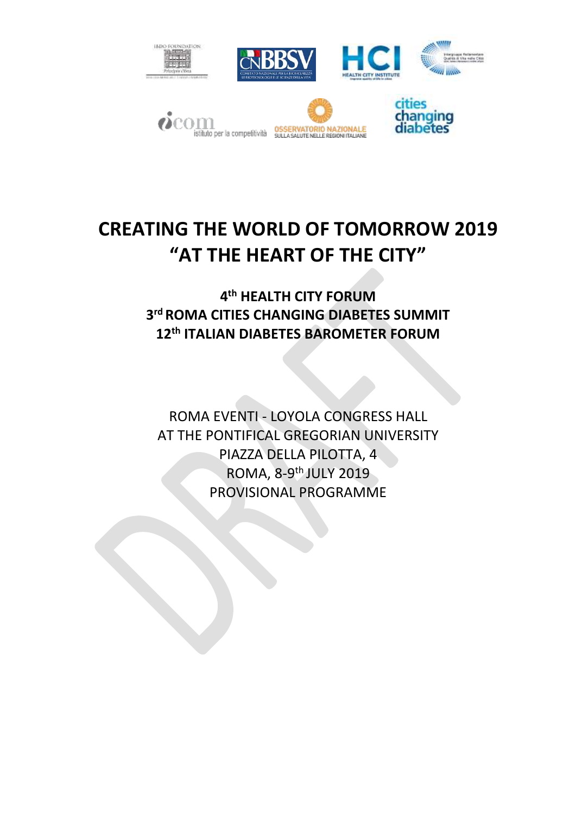

# **CREATING THE WORLD OF TOMORROW 2019 "AT THE HEART OF THE CITY"**

**4 th HEALTH CITY FORUM 3 rd ROMA CITIES CHANGING DIABETES SUMMIT 12th ITALIAN DIABETES BAROMETER FORUM**

ROMA EVENTI - LOYOLA CONGRESS HALL AT THE PONTIFICAL GREGORIAN UNIVERSITY PIAZZA DELLA PILOTTA, 4 ROMA, 8-9<sup>th</sup> JULY 2019 PROVISIONAL PROGRAMME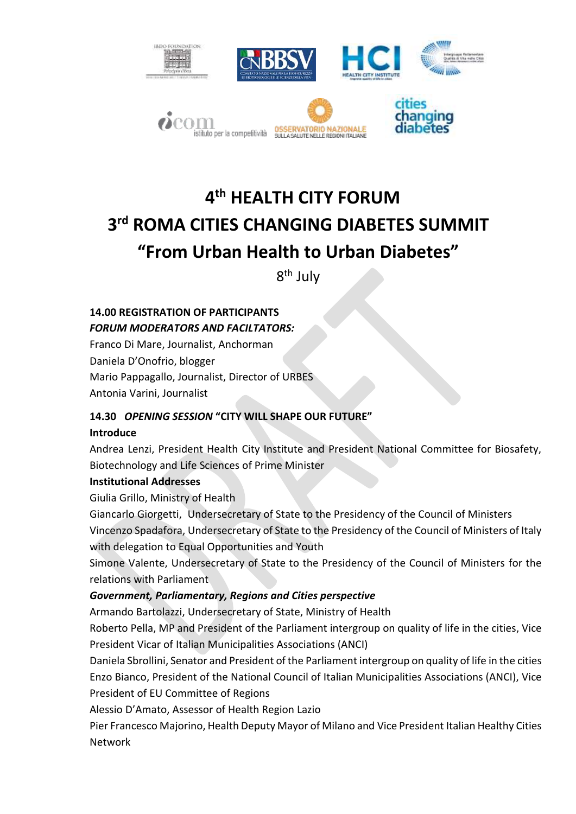

## **4 th HEALTH CITY FORUM 3 rd ROMA CITIES CHANGING DIABETES SUMMIT "From Urban Health to Urban Diabetes"**

8<sup>th</sup> July

## **14.00 REGISTRATION OF PARTICIPANTS** *FORUM MODERATORS AND FACILTATORS:*

Franco Di Mare, Journalist, Anchorman Daniela D'Onofrio, blogger Mario Pappagallo, Journalist, Director of URBES Antonia Varini, Journalist

## **14.30** *OPENING SESSION* **"CITY WILL SHAPE OUR FUTURE"**

#### **Introduce**

Andrea Lenzi, President Health City Institute and President National Committee for Biosafety, Biotechnology and Life Sciences of Prime Minister

#### **Institutional Addresses**

Giulia Grillo, Ministry of Health

Giancarlo Giorgetti, Undersecretary of State to the Presidency of the Council of Ministers Vincenzo Spadafora, Undersecretary of State to the Presidency of the Council of Ministers of Italy with delegation to Equal Opportunities and Youth

Simone Valente, Undersecretary of State to the Presidency of the Council of Ministers for the relations with Parliament

## *Government, Parliamentary, Regions and Cities perspective*

Armando Bartolazzi, Undersecretary of State, Ministry of Health

Roberto Pella, MP and President of the Parliament intergroup on quality of life in the cities, Vice President Vicar of Italian Municipalities Associations (ANCI)

Daniela Sbrollini, Senator and President of the Parliament intergroup on quality of life in the cities Enzo Bianco, President of the National Council of Italian Municipalities Associations (ANCI), Vice President of EU Committee of Regions

Alessio D'Amato, Assessor of Health Region Lazio

Pier Francesco Majorino, Health Deputy Mayor of Milano and Vice President Italian Healthy Cities Network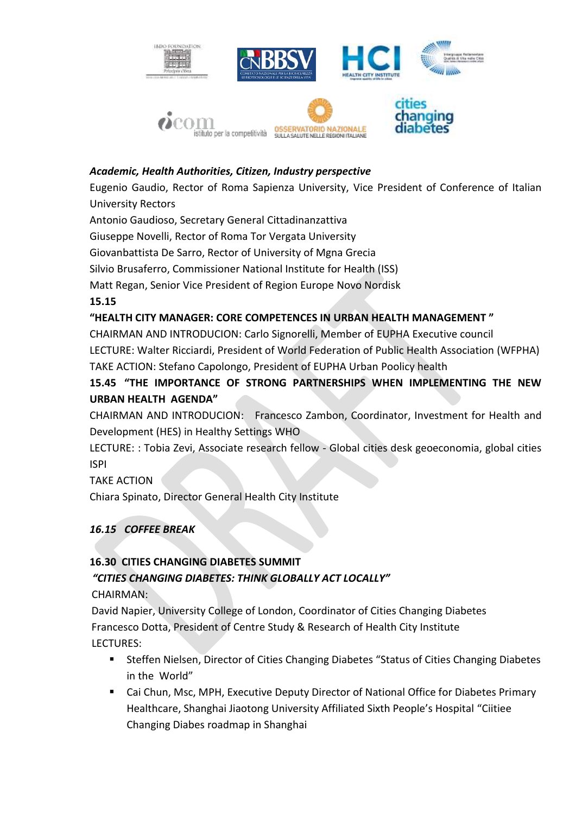

#### *Academic, Health Authorities, Citizen, Industry perspective*

Eugenio Gaudio, Rector of Roma Sapienza University, Vice President of Conference of Italian University Rectors

Antonio Gaudioso, Secretary General Cittadinanzattiva

Giuseppe Novelli, Rector of Roma Tor Vergata University

Giovanbattista De Sarro, Rector of University of Mgna Grecia

Silvio Brusaferro, Commissioner National Institute for Health (ISS)

Matt Regan, Senior Vice President of Region Europe Novo Nordisk

**15.15**

#### **"HEALTH CITY MANAGER: CORE COMPETENCES IN URBAN HEALTH MANAGEMENT "**

CHAIRMAN AND INTRODUCION: Carlo Signorelli, Member of EUPHA Executive council LECTURE: Walter Ricciardi, President of World Federation of Public Health Association (WFPHA) TAKE ACTION: Stefano Capolongo, President of EUPHA Urban Poolicy health

### **15.45 "THE IMPORTANCE OF STRONG PARTNERSHIPS WHEN IMPLEMENTING THE NEW URBAN HEALTH AGENDA"**

CHAIRMAN AND INTRODUCION: Francesco Zambon, Coordinator, Investment for Health and Development (HES) in Healthy Settings WHO

LECTURE: : Tobia Zevi, Associate research fellow - Global cities desk geoeconomia, global cities ISPI

#### TAKE ACTION

Chiara Spinato, Director General Health City Institute

#### *16.15 COFFEE BREAK*

## **16.30 CITIES CHANGING DIABETES SUMMIT**  *"CITIES CHANGING DIABETES: THINK GLOBALLY ACT LOCALLY"*

CHAIRMAN:

 David Napier, University College of London, Coordinator of Cities Changing Diabetes Francesco Dotta, President of Centre Study & Research of Health City Institute LECTURES:

- Steffen Nielsen, Director of Cities Changing Diabetes "Status of Cities Changing Diabetes in the World"
- Cai Chun, Msc, MPH, Executive Deputy Director of National Office for Diabetes Primary Healthcare, Shanghai Jiaotong University Affiliated Sixth People's Hospital "Ciitiee Changing Diabes roadmap in Shanghai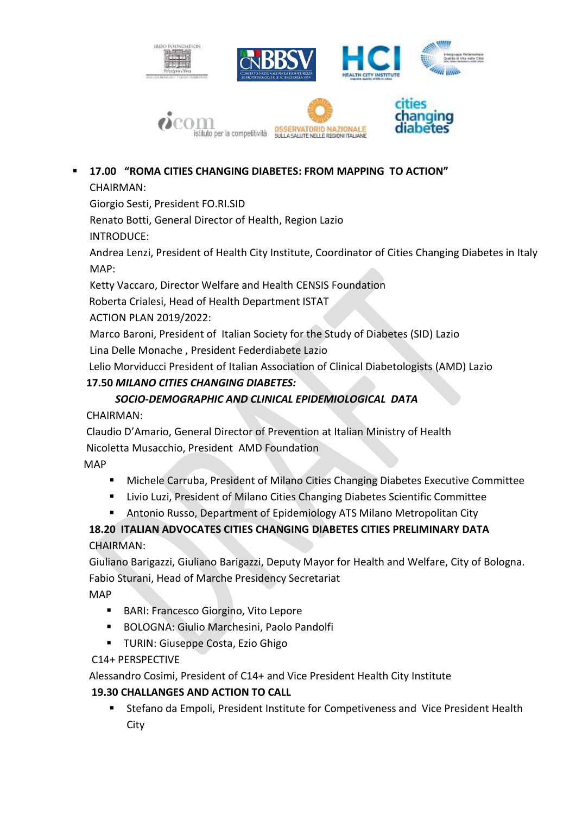

## **17.00 "ROMA CITIES CHANGING DIABETES: FROM MAPPING TO ACTION"**

### CHAIRMAN:

Giorgio Sesti, President FO.RI.SID

Renato Botti, General Director of Health, Region Lazio

INTRODUCE:

Andrea Lenzi, President of Health City Institute, Coordinator of Cities Changing Diabetes in Italy MAP:

Ketty Vaccaro, Director Welfare and Health CENSIS Foundation

Roberta Crialesi, Head of Health Department ISTAT

ACTION PLAN 2019/2022:

Marco Baroni, President of Italian Society for the Study of Diabetes (SID) Lazio Lina Delle Monache , President Federdiabete Lazio

Lelio Morviducci President of Italian Association of Clinical Diabetologists (AMD) Lazio

## **17.50** *MILANO CITIES CHANGING DIABETES:*

## *SOCIO-DEMOGRAPHIC AND CLINICAL EPIDEMIOLOGICAL DATA*

CHAIRMAN:

 Claudio D'Amario, General Director of Prevention at Italian Ministry of Health Nicoletta Musacchio, President AMD Foundation

MAP

- Michele Carruba, President of Milano Cities Changing Diabetes Executive Committee
- **E** Livio Luzi, President of Milano Cities Changing Diabetes Scientific Committee
- Antonio Russo, Department of Epidemiology ATS Milano Metropolitan City

## **18.20 ITALIAN ADVOCATES CITIES CHANGING DIABETES CITIES PRELIMINARY DATA**CHAIRMAN:

 Giuliano Barigazzi, Giuliano Barigazzi, Deputy Mayor for Health and Welfare, City of Bologna. Fabio Sturani, Head of Marche Presidency Secretariat

MAP

- **BARI: Francesco Giorgino, Vito Lepore**
- BOLOGNA: Giulio Marchesini, Paolo Pandolfi
- **TURIN: Giuseppe Costa, Ezio Ghigo**

C14+ PERSPECTIVE

Alessandro Cosimi, President of C14+ and Vice President Health City Institute

## **19.30 CHALLANGES AND ACTION TO CALL**

 Stefano da Empoli, President Institute for Competiveness and Vice President Health **City**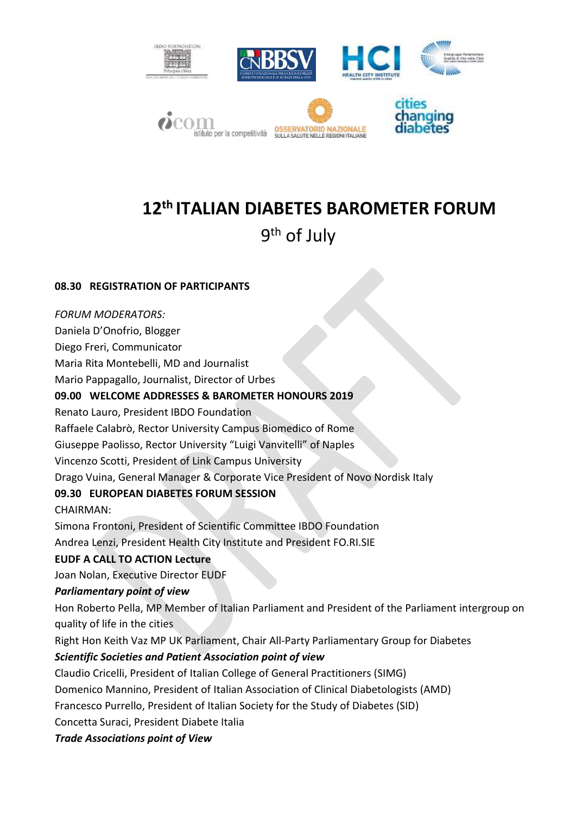

## **12th ITALIAN DIABETES BAROMETER FORUM**

## 9<sup>th</sup> of July

#### **08.30 REGISTRATION OF PARTICIPANTS**

*FORUM MODERATORS:*

Daniela D'Onofrio, Blogger

Diego Freri, Communicator

Maria Rita Montebelli, MD and Journalist

Mario Pappagallo, Journalist, Director of Urbes

#### **09.00 WELCOME ADDRESSES & BAROMETER HONOURS 2019**

Renato Lauro, President IBDO Foundation

Raffaele Calabrò, Rector University Campus Biomedico of Rome

Giuseppe Paolisso, Rector University "Luigi Vanvitelli" of Naples

Vincenzo Scotti, President of Link Campus University

Drago Vuina, General Manager & Corporate Vice President of Novo Nordisk Italy

#### **09.30 EUROPEAN DIABETES FORUM SESSION**

CHAIRMAN:

Simona Frontoni, President of Scientific Committee IBDO Foundation

Andrea Lenzi, President Health City Institute and President FO.RI.SIE

#### **EUDF A CALL TO ACTION Lecture**

Joan Nolan, Executive Director EUDF

#### *Parliamentary point of view*

Hon Roberto Pella, MP Member of Italian Parliament and President of the Parliament intergroup on quality of life in the cities

Right Hon Keith Vaz MP UK Parliament, Chair All-Party Parliamentary Group for Diabetes

#### *Scientific Societies and Patient Association point of view*

Claudio Cricelli, President of Italian College of General Practitioners (SIMG)

Domenico Mannino, President of Italian Association of Clinical Diabetologists (AMD)

Francesco Purrello, President of Italian Society for the Study of Diabetes (SID)

Concetta Suraci, President Diabete Italia

*Trade Associations point of View*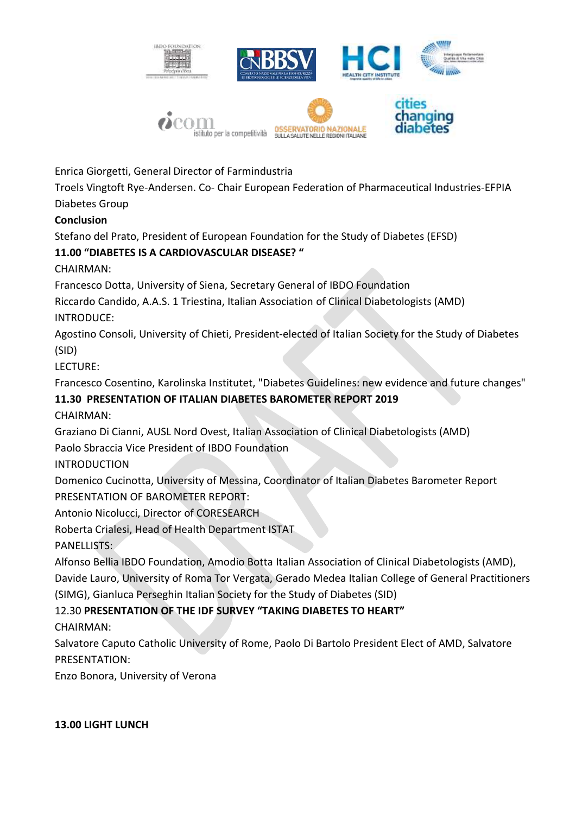

Enrica Giorgetti, General Director of Farmindustria

Troels Vingtoft Rye-Andersen. Co- Chair European Federation of Pharmaceutical Industries-EFPIA Diabetes Group

#### **Conclusion**

Stefano del Prato, President of European Foundation for the Study of Diabetes (EFSD)

### **11.00 "DIABETES IS A CARDIOVASCULAR DISEASE? "**

CHAIRMAN:

Francesco Dotta, University of Siena, Secretary General of IBDO Foundation

Riccardo Candido, A.A.S. 1 Triestina, Italian Association of Clinical Diabetologists (AMD) INTRODUCE:

Agostino Consoli, University of Chieti, President-elected of Italian Society for the Study of Diabetes (SID)

LECTURE:

Francesco Cosentino, Karolinska Institutet, "Diabetes Guidelines: new evidence and future changes"

## **11.30 PRESENTATION OF ITALIAN DIABETES BAROMETER REPORT 2019**

CHAIRMAN:

Graziano Di Cianni, AUSL Nord Ovest, Italian Association of Clinical Diabetologists (AMD)

Paolo Sbraccia Vice President of IBDO Foundation

INTRODUCTION

Domenico Cucinotta, University of Messina, Coordinator of Italian Diabetes Barometer Report PRESENTATION OF BAROMETER REPORT:

Antonio Nicolucci, Director of CORESEARCH

Roberta Crialesi, Head of Health Department ISTAT

PANELLISTS:

Alfonso Bellia IBDO Foundation, Amodio Botta Italian Association of Clinical Diabetologists (AMD), Davide Lauro, University of Roma Tor Vergata, Gerado Medea Italian College of General Practitioners (SIMG), Gianluca Perseghin Italian Society for the Study of Diabetes (SID)

## 12.30 **PRESENTATION OF THE IDF SURVEY "TAKING DIABETES TO HEART"**

CHAIRMAN:

Salvatore Caputo Catholic University of Rome, Paolo Di Bartolo President Elect of AMD, Salvatore PRESENTATION:

Enzo Bonora, University of Verona

#### **13.00 LIGHT LUNCH**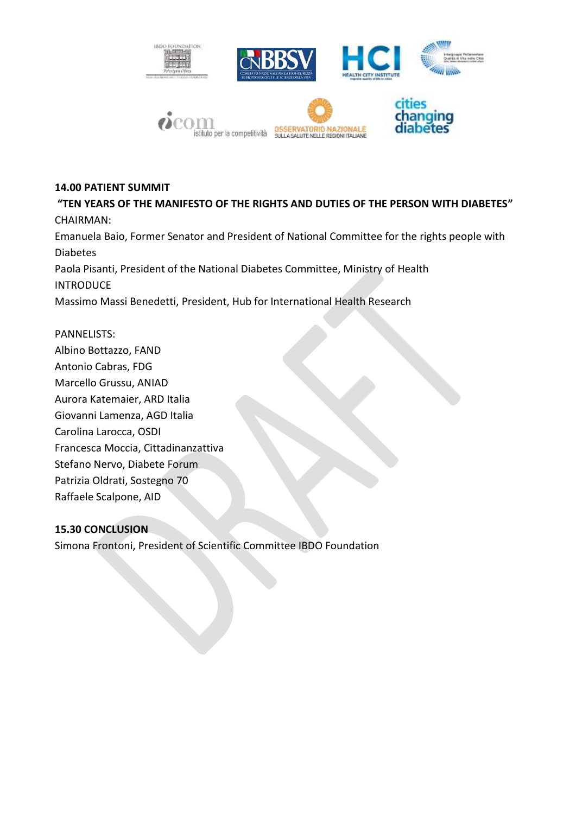

#### **14.00 PATIENT SUMMIT**

**"TEN YEARS OF THE MANIFESTO OF THE RIGHTS AND DUTIES OF THE PERSON WITH DIABETES"** CHAIRMAN: Emanuela Baio, Former Senator and President of National Committee for the rights people with Diabetes Paola Pisanti, President of the National Diabetes Committee, Ministry of Health **INTRODUCE** Massimo Massi Benedetti, President, Hub for International Health Research

PANNELISTS: Albino Bottazzo, FAND Antonio Cabras, FDG Marcello Grussu, ANIAD Aurora Katemaier, ARD Italia Giovanni Lamenza, AGD Italia Carolina Larocca, OSDI Francesca Moccia, Cittadinanzattiva Stefano Nervo, Diabete Forum Patrizia Oldrati, Sostegno 70 Raffaele Scalpone, AID

#### **15.30 CONCLUSION**

Simona Frontoni, President of Scientific Committee IBDO Foundation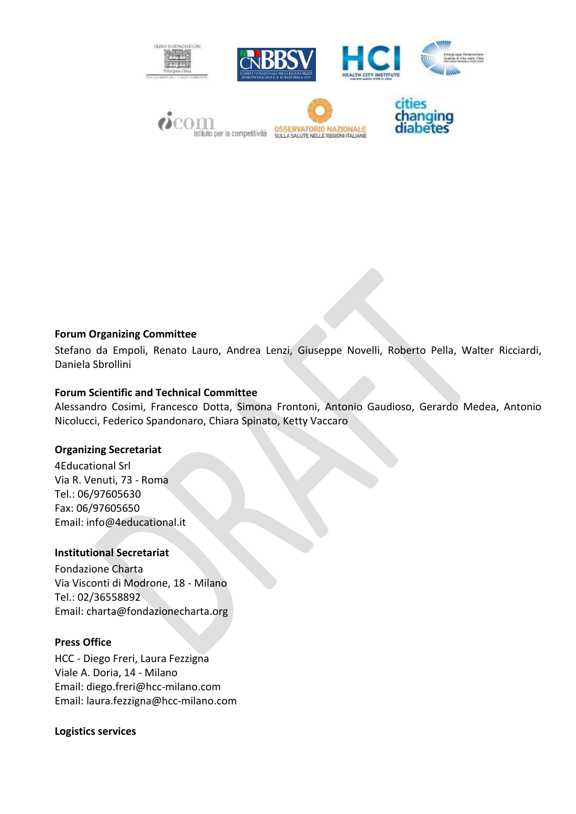

#### **Forum Organizing Committee**

Stefano da Empoli, Renato Lauro, Andrea Lenzi, Giuseppe Novelli, Roberto Pella, Walter Ricciardi, Daniela Sbrollini

#### **Forum Scientific and Technical Committee**

Alessandro Cosimi, Francesco Dotta, Simona Frontoni, Antonio Gaudioso, Gerardo Medea, Antonio Nicolucci, Federico Spandonaro, Chiara Spinato, Ketty Vaccaro

#### **Organizing Secretariat**

4Educational Srl Via R. Venuti, 73 - Roma Tel.: 06/97605630 Fax: 06/97605650 Email: info@4educational.it

#### **Institutional Secretariat**

Fondazione Charta Via Visconti di Modrone, 18 - Milano Tel.: 02/36558892 Email: charta@fondazionecharta.org

#### **Press Office**

HCC - Diego Freri, Laura Fezzigna Viale A. Doria, 14 - Milano Email: diego.freri@hcc-milano.com Email: [laura.fezzigna@hcc-milano.com](mailto:laura.fezzigna@hcc-milano.com)

#### **Logistics services**